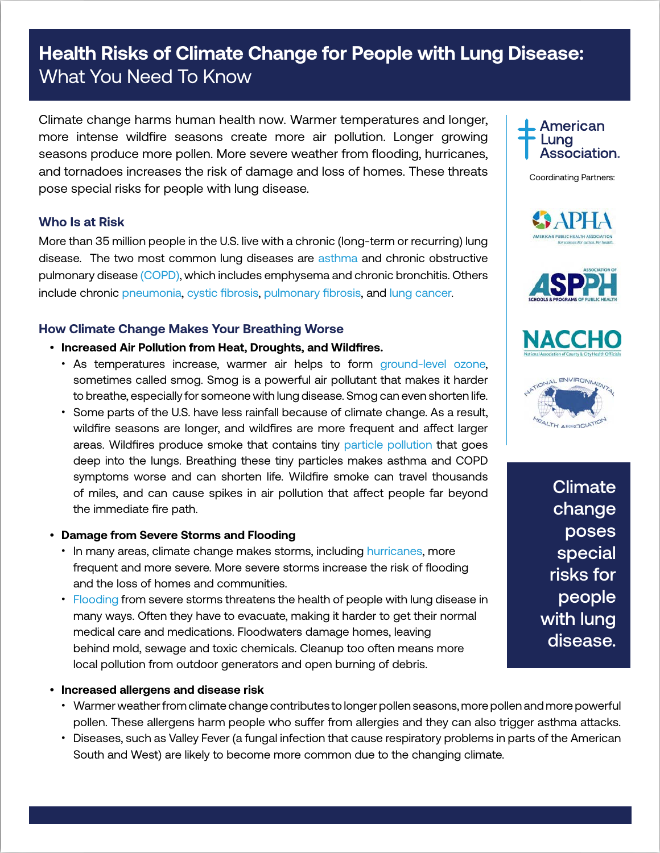# **Health Risks of Climate Change for People with Lung Disease:**  What You Need To Know

Climate change harms human health now. Warmer temperatures and longer, more intense wildfire seasons create more air pollution. Longer growing seasons produce more pollen. More severe weather from flooding, hurricanes, and tornadoes increases the risk of damage and loss of homes. These threats pose special risks for people with lung disease.

# **Who Is at Risk**

More than 35 million people in the U.S. live with a chronic (long-term or recurring) lung disease. The two most common lung diseases are [asthma](Climate change harms Americans’ health now. Warmer temperatures and longer, more intense wildfire seasons create more air pollution.) and chronic obstructive pulmonary disease [\(COPD\),](https://www.lung.org/lung-health-and-diseases/lung-disease-lookup/copd/) which includes emphysema and chronic bronchitis. Others include chronic [pneumonia,](https://www.lung.org/lung-health-and-diseases/lung-disease-lookup/pneumonia/) [cystic fibrosis,](https://www.lung.org/lung-health-and-diseases/lung-disease-lookup/cystic-fibrosis/) [pulmonary fibrosis,](https://www.lung.org/lung-health-and-diseases/lung-disease-lookup/pulmonary-fibrosis/) and [lung cancer.](https://www.lung.org/lung-health-and-diseases/lung-disease-lookup/lung-cancer/)

# **How Climate Change Makes Your Breathing Worse**

- **Increased Air Pollution from Heat, Droughts, and Wildfires.**
	- As temperatures increase, warmer air helps to form [ground-level ozone,](https://www.lung.org/our-initiatives/healthy-air/outdoor/air-pollution/ozone.html) sometimes called smog. Smog is a powerful air pollutant that makes it harder to breathe, especially for someone with lung disease. Smog can even shorten life.
	- Some parts of the U.S. have less rainfall because of climate change. As a result, wildfire seasons are longer, and wildfires are more frequent and affect larger areas. Wildfires produce smoke that contains tiny [particle pollution](https://www.lung.org/our-initiatives/healthy-air/outdoor/air-pollution/particle-pollution.html) that goes deep into the lungs. Breathing these tiny particles makes asthma and COPD symptoms worse and can shorten life. Wildfire smoke can travel thousands of miles, and can cause spikes in air pollution that affect people far beyond the immediate fire path.

### • **Damage from Severe Storms and Flooding**

- In many areas, climate change makes storms, including [hurricanes](https://www.lung.org/our-initiatives/healthy-air/outdoor/emergencies-and-natural-disasters/hurricanes-and-tornadoes.html), more frequent and more severe. More severe storms increase the risk of flooding and the loss of homes and communities.
- [Flooding](https://www.lung.org/our-initiatives/healthy-air/outdoor/emergencies-and-natural-disasters/floods-and-water-damage.html) from severe storms threatens the health of people with lung disease in many ways. Often they have to evacuate, making it harder to get their normal medical care and medications. Floodwaters damage homes, leaving behind mold, sewage and toxic chemicals. Cleanup too often means more local pollution from outdoor generators and open burning of debris.
- **Increased allergens and disease risk**
	- Warmer weather from climate change contributes to longer pollen seasons, more pollen and more powerful pollen. These allergens harm people who suffer from allergies and they can also trigger asthma attacks.
	- Diseases, such as Valley Fever (a fungal infection that cause respiratory problems in parts of the American South and West) are likely to become more common due to the changing climate.



Coordinating Partners:









**Climate** change poses special risks for people with lung disease.